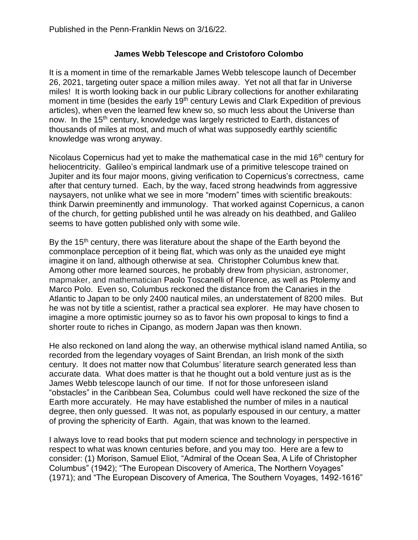## **James Webb Telescope and Cristoforo Colombo**

It is a moment in time of the remarkable James Webb telescope launch of December 26, 2021, targeting outer space a million miles away. Yet not all that far in Universe miles! It is worth looking back in our public Library collections for another exhilarating moment in time (besides the early 19<sup>th</sup> century Lewis and Clark Expedition of previous articles), when even the learned few knew so, so much less about the Universe than now. In the 15<sup>th</sup> century, knowledge was largely restricted to Earth, distances of thousands of miles at most, and much of what was supposedly earthly scientific knowledge was wrong anyway.

Nicolaus Copernicus had yet to make the mathematical case in the mid  $16<sup>th</sup>$  century for heliocentricity. Galileo's empirical landmark use of a primitive telescope trained on Jupiter and its four major moons, giving verification to Copernicus's correctness, came after that century turned. Each, by the way, faced strong headwinds from aggressive naysayers, not unlike what we see in more "modern" times with scientific breakouts: think Darwin preeminently and immunology. That worked against Copernicus, a canon of the church, for getting published until he was already on his deathbed, and Galileo seems to have gotten published only with some wile.

By the 15<sup>th</sup> century, there was literature about the shape of the Earth beyond the commonplace perception of it being flat, which was only as the unaided eye might imagine it on land, although otherwise at sea. Christopher Columbus knew that. Among other more learned sources, he probably drew from physician, astronomer, mapmaker, and mathematician Paolo Toscanelli of Florence, as well as Ptolemy and Marco Polo. Even so, Columbus reckoned the distance from the Canaries in the Atlantic to Japan to be only 2400 nautical miles, an understatement of 8200 miles. But he was not by title a scientist, rather a practical sea explorer. He may have chosen to imagine a more optimistic journey so as to favor his own proposal to kings to find a shorter route to riches in Cipango, as modern Japan was then known.

He also reckoned on land along the way, an otherwise mythical island named Antilia, so recorded from the legendary voyages of Saint Brendan, an Irish monk of the sixth century. It does not matter now that Columbus' literature search generated less than accurate data. What does matter is that he thought out a bold venture just as is the James Webb telescope launch of our time. If not for those unforeseen island "obstacles" in the Caribbean Sea, Columbus could well have reckoned the size of the Earth more accurately. He may have established the number of miles in a nautical degree, then only guessed. It was not, as popularly espoused in our century, a matter of proving the sphericity of Earth. Again, that was known to the learned.

I always love to read books that put modern science and technology in perspective in respect to what was known centuries before, and you may too. Here are a few to consider: (1) Morison, Samuel Eliot, "Admiral of the Ocean Sea, A Life of Christopher Columbus" (1942); "The European Discovery of America, The Northern Voyages" (1971); and "The European Discovery of America, The Southern Voyages, 1492-1616"